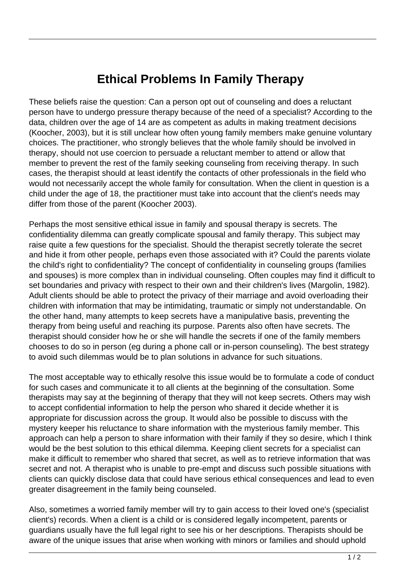## **Ethical Problems In Family Therapy**

These beliefs raise the question: Can a person opt out of counseling and does a reluctant person have to undergo pressure therapy because of the need of a specialist? According to the data, children over the age of 14 are as competent as adults in making treatment decisions (Koocher, 2003), but it is still unclear how often young family members make genuine voluntary choices. The practitioner, who strongly believes that the whole family should be involved in therapy, should not use coercion to persuade a reluctant member to attend or allow that member to prevent the rest of the family seeking counseling from receiving therapy. In such cases, the therapist should at least identify the contacts of other professionals in the field who would not necessarily accept the whole family for consultation. When the client in question is a child under the age of 18, the practitioner must take into account that the client's needs may differ from those of the parent (Koocher 2003).

Perhaps the most sensitive ethical issue in family and spousal therapy is secrets. The confidentiality dilemma can greatly complicate spousal and family therapy. This subject may raise quite a few questions for the specialist. Should the therapist secretly tolerate the secret and hide it from other people, perhaps even those associated with it? Could the parents violate the child's right to confidentiality? The concept of confidentiality in counseling groups (families and spouses) is more complex than in individual counseling. Often couples may find it difficult to set boundaries and privacy with respect to their own and their children's lives (Margolin, 1982). Adult clients should be able to protect the privacy of their marriage and avoid overloading their children with information that may be intimidating, traumatic or simply not understandable. On the other hand, many attempts to keep secrets have a manipulative basis, preventing the therapy from being useful and reaching its purpose. Parents also often have secrets. The therapist should consider how he or she will handle the secrets if one of the family members chooses to do so in person (eg during a phone call or in-person counseling). The best strategy to avoid such dilemmas would be to plan solutions in advance for such situations.

The most acceptable way to ethically resolve this issue would be to formulate a code of conduct for such cases and communicate it to all clients at the beginning of the consultation. Some therapists may say at the beginning of therapy that they will not keep secrets. Others may wish to accept confidential information to help the person who shared it decide whether it is appropriate for discussion across the group. It would also be possible to discuss with the mystery keeper his reluctance to share information with the mysterious family member. This approach can help a person to share information with their family if they so desire, which I think would be the best solution to this ethical dilemma. Keeping client secrets for a specialist can make it difficult to remember who shared that secret, as well as to retrieve information that was secret and not. A therapist who is unable to pre-empt and discuss such possible situations with clients can quickly disclose data that could have serious ethical consequences and lead to even greater disagreement in the family being counseled.

Also, sometimes a worried family member will try to gain access to their loved one's (specialist client's) records. When a client is a child or is considered legally incompetent, parents or guardians usually have the full legal right to see his or her descriptions. Therapists should be aware of the unique issues that arise when working with minors or families and should uphold